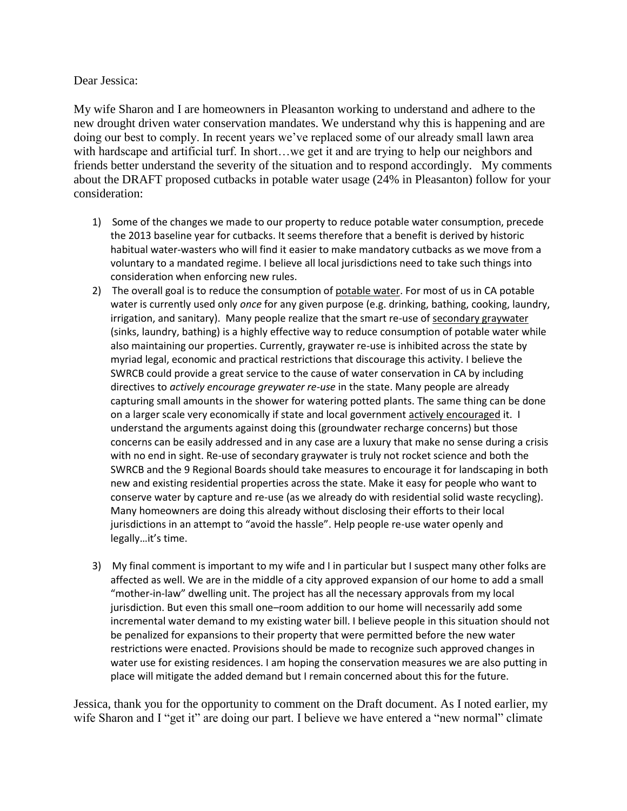## Dear Jessica:

My wife Sharon and I are homeowners in Pleasanton working to understand and adhere to the new drought driven water conservation mandates. We understand why this is happening and are doing our best to comply. In recent years we've replaced some of our already small lawn area with hardscape and artificial turf. In short…we get it and are trying to help our neighbors and friends better understand the severity of the situation and to respond accordingly. My comments about the DRAFT proposed cutbacks in potable water usage (24% in Pleasanton) follow for your consideration:

- 1) Some of the changes we made to our property to reduce potable water consumption, precede the 2013 baseline year for cutbacks. It seems therefore that a benefit is derived by historic habitual water-wasters who will find it easier to make mandatory cutbacks as we move from a voluntary to a mandated regime. I believe all local jurisdictions need to take such things into consideration when enforcing new rules.
- 2) The overall goal is to reduce the consumption of potable water. For most of us in CA potable water is currently used only *once* for any given purpose (e.g. drinking, bathing, cooking, laundry, irrigation, and sanitary). Many people realize that the smart re-use of secondary graywater (sinks, laundry, bathing) is a highly effective way to reduce consumption of potable water while also maintaining our properties. Currently, graywater re-use is inhibited across the state by myriad legal, economic and practical restrictions that discourage this activity. I believe the SWRCB could provide a great service to the cause of water conservation in CA by including directives to *actively encourage greywater re-use* in the state. Many people are already capturing small amounts in the shower for watering potted plants. The same thing can be done on a larger scale very economically if state and local government actively encouraged it. I understand the arguments against doing this (groundwater recharge concerns) but those concerns can be easily addressed and in any case are a luxury that make no sense during a crisis with no end in sight. Re-use of secondary graywater is truly not rocket science and both the SWRCB and the 9 Regional Boards should take measures to encourage it for landscaping in both new and existing residential properties across the state. Make it easy for people who want to conserve water by capture and re-use (as we already do with residential solid waste recycling). Many homeowners are doing this already without disclosing their efforts to their local jurisdictions in an attempt to "avoid the hassle". Help people re-use water openly and legally…it's time.
- 3) My final comment is important to my wife and I in particular but I suspect many other folks are affected as well. We are in the middle of a city approved expansion of our home to add a small "mother-in-law" dwelling unit. The project has all the necessary approvals from my local jurisdiction. But even this small one–room addition to our home will necessarily add some incremental water demand to my existing water bill. I believe people in this situation should not be penalized for expansions to their property that were permitted before the new water restrictions were enacted. Provisions should be made to recognize such approved changes in water use for existing residences. I am hoping the conservation measures we are also putting in place will mitigate the added demand but I remain concerned about this for the future.

Jessica, thank you for the opportunity to comment on the Draft document. As I noted earlier, my wife Sharon and I "get it" are doing our part. I believe we have entered a "new normal" climate